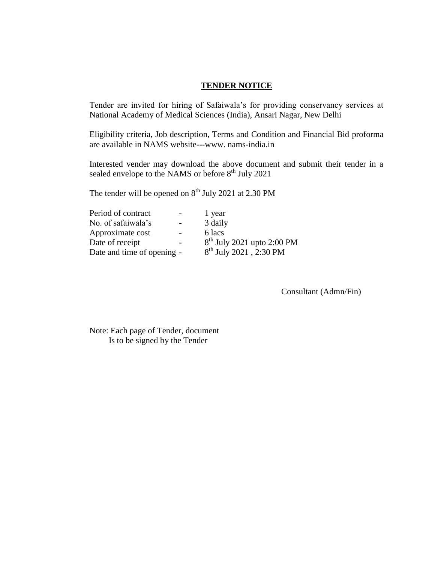#### **TENDER NOTICE**

Tender are invited for hiring of Safaiwala's for providing conservancy services at National Academy of Medical Sciences (India), Ansari Nagar, New Delhi

Eligibility criteria, Job description, Terms and Condition and Financial Bid proforma are available in NAMS website---www. nams-india.in

Interested vender may download the above document and submit their tender in a sealed envelope to the NAMS or before  $8<sup>th</sup>$  July 2021

The tender will be opened on  $8<sup>th</sup>$  July 2021 at 2.30 PM

|                            | 1 year                       |
|----------------------------|------------------------------|
| $\overline{\phantom{0}}$   | 3 daily                      |
|                            | 6 lacs                       |
|                            | $8th$ July 2021 upto 2:00 PM |
| Date and time of opening - | $8^{th}$ July 2021, 2:30 PM  |
|                            |                              |

Consultant (Admn/Fin)

Note: Each page of Tender, document Is to be signed by the Tender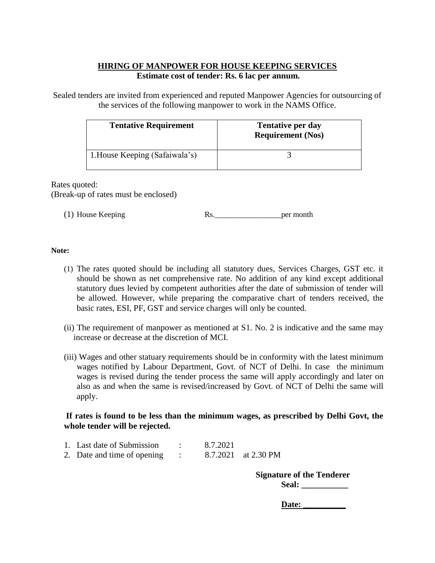## **HIRING OF MANPOWER FOR HOUSE KEEPING SERVICES Estimate cost of tender: Rs. 6 lac per annum.**

Sealed tenders are invited from experienced and reputed Manpower Agencies for outsourcing of the services of the following manpower to work in the NAMS Office.

| <b>Tentative Requirement</b>   | <b>Tentative per day</b><br><b>Requirement (Nos)</b> |
|--------------------------------|------------------------------------------------------|
| 1. House Keeping (Safaiwala's) |                                                      |

Rates quoted: (Break-up of rates must be enclosed)

(1) House Keeping Rs. Rs.

#### **Note:**

- (1) The rates quoted should be including all statutory dues, Services Charges, GST etc. it should be shown as net comprehensive rate. No addition of any kind except additional statutory dues levied by competent authorities after the date of submission of tender will be allowed. However, while preparing the comparative chart of tenders received, the basic rates, ESI, PF, GST and service charges will only be counted.
- (ii) The requirement of manpower as mentioned at S1. No. 2 is indicative and the same may increase or decrease at the discretion of MCI.
- (iii) Wages and other statuary requirements should be in conformity with the latest minimum wages notified by Labour Department, Govt. of NCT of Delhi. In case the minimum wages is revised during the tender process the same will apply accordingly and later on also as and when the same is revised/increased by Govt. of NCT of Delhi the same will apply.

### **If rates is found to be less than the minimum wages, as prescribed by Delhi Govt, the whole tender will be rejected.**

| 1. Last date of Submission  | 8.7.2021 |                     |
|-----------------------------|----------|---------------------|
| 2. Date and time of opening |          | 8.7.2021 at 2.30 PM |

**Signature of the Tenderer Seal: \_\_\_\_\_\_\_\_\_\_\_**

Date: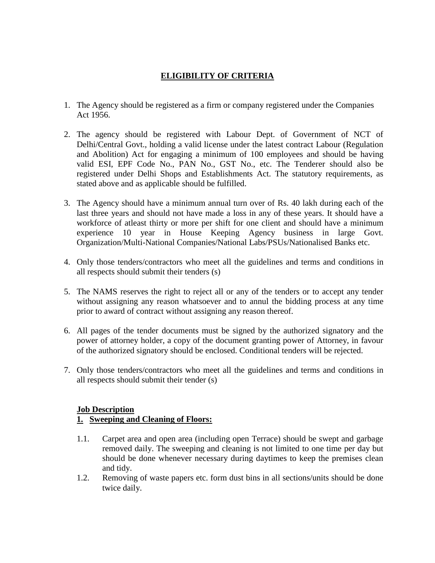# **ELIGIBILITY OF CRITERIA**

- 1. The Agency should be registered as a firm or company registered under the Companies Act 1956.
- 2. The agency should be registered with Labour Dept. of Government of NCT of Delhi/Central Govt., holding a valid license under the latest contract Labour (Regulation and Abolition) Act for engaging a minimum of 100 employees and should be having valid ESI, EPF Code No., PAN No., GST No., etc. The Tenderer should also be registered under Delhi Shops and Establishments Act. The statutory requirements, as stated above and as applicable should be fulfilled.
- 3. The Agency should have a minimum annual turn over of Rs. 40 lakh during each of the last three years and should not have made a loss in any of these years. It should have a workforce of atleast thirty or more per shift for one client and should have a minimum experience 10 year in House Keeping Agency business in large Govt. Organization/Multi-National Companies/National Labs/PSUs/Nationalised Banks etc.
- 4. Only those tenders/contractors who meet all the guidelines and terms and conditions in all respects should submit their tenders (s)
- 5. The NAMS reserves the right to reject all or any of the tenders or to accept any tender without assigning any reason whatsoever and to annul the bidding process at any time prior to award of contract without assigning any reason thereof.
- 6. All pages of the tender documents must be signed by the authorized signatory and the power of attorney holder, a copy of the document granting power of Attorney, in favour of the authorized signatory should be enclosed. Conditional tenders will be rejected.
- 7. Only those tenders/contractors who meet all the guidelines and terms and conditions in all respects should submit their tender (s)

### **Job Description**

## **1. Sweeping and Cleaning of Floors:**

- 1.1. Carpet area and open area (including open Terrace) should be swept and garbage removed daily. The sweeping and cleaning is not limited to one time per day but should be done whenever necessary during daytimes to keep the premises clean and tidy.
- 1.2. Removing of waste papers etc. form dust bins in all sections/units should be done twice daily.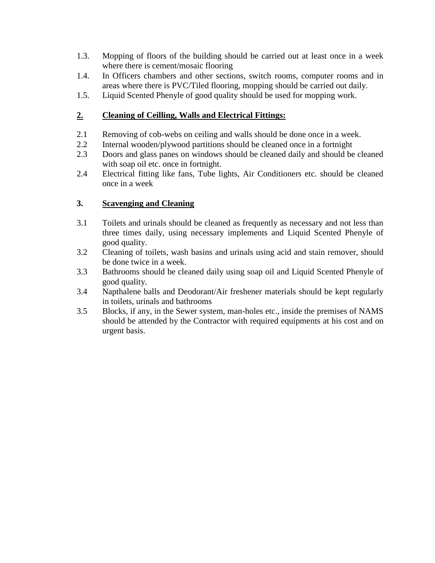- 1.3. Mopping of floors of the building should be carried out at least once in a week where there is cement/mosaic flooring
- 1.4. In Officers chambers and other sections, switch rooms, computer rooms and in areas where there is PVC/Tiled flooring, mopping should be carried out daily.
- 1.5. Liquid Scented Phenyle of good quality should be used for mopping work.

# **2. Cleaning of Ceilling, Walls and Electrical Fittings:**

- 2.1 Removing of cob-webs on ceiling and walls should be done once in a week.
- 2.2 Internal wooden/plywood partitions should be cleaned once in a fortnight
- 2.3 Doors and glass panes on windows should be cleaned daily and should be cleaned with soap oil etc. once in fortnight.
- 2.4 Electrical fitting like fans, Tube lights, Air Conditioners etc. should be cleaned once in a week

## **3. Scavenging and Cleaning**

- 3.1 Toilets and urinals should be cleaned as frequently as necessary and not less than three times daily, using necessary implements and Liquid Scented Phenyle of good quality.
- 3.2 Cleaning of toilets, wash basins and urinals using acid and stain remover, should be done twice in a week.
- 3.3 Bathrooms should be cleaned daily using soap oil and Liquid Scented Phenyle of good quality.
- 3.4 Napthalene balls and Deodorant/Air freshener materials should be kept regularly in toilets, urinals and bathrooms
- 3.5 Blocks, if any, in the Sewer system, man-holes etc., inside the premises of NAMS should be attended by the Contractor with required equipments at his cost and on urgent basis.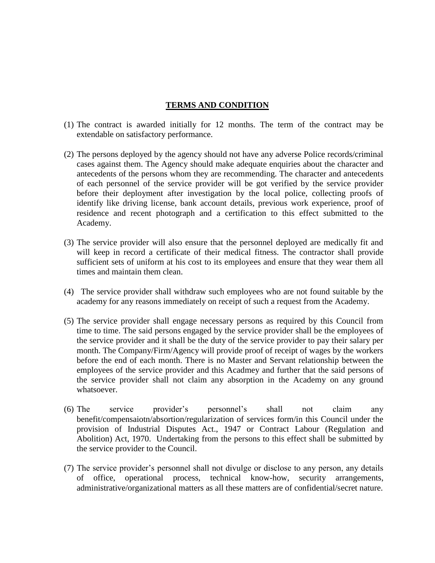#### **TERMS AND CONDITION**

- (1) The contract is awarded initially for 12 months. The term of the contract may be extendable on satisfactory performance.
- (2) The persons deployed by the agency should not have any adverse Police records/criminal cases against them. The Agency should make adequate enquiries about the character and antecedents of the persons whom they are recommending. The character and antecedents of each personnel of the service provider will be got verified by the service provider before their deployment after investigation by the local police, collecting proofs of identify like driving license, bank account details, previous work experience, proof of residence and recent photograph and a certification to this effect submitted to the Academy.
- (3) The service provider will also ensure that the personnel deployed are medically fit and will keep in record a certificate of their medical fitness. The contractor shall provide sufficient sets of uniform at his cost to its employees and ensure that they wear them all times and maintain them clean.
- (4) The service provider shall withdraw such employees who are not found suitable by the academy for any reasons immediately on receipt of such a request from the Academy.
- (5) The service provider shall engage necessary persons as required by this Council from time to time. The said persons engaged by the service provider shall be the employees of the service provider and it shall be the duty of the service provider to pay their salary per month. The Company/Firm/Agency will provide proof of receipt of wages by the workers before the end of each month. There is no Master and Servant relationship between the employees of the service provider and this Acadmey and further that the said persons of the service provider shall not claim any absorption in the Academy on any ground whatsoever.
- (6) The service provider's personnel's shall not claim any benefit/compensaiotn/absortion/regularization of services form/in this Council under the provision of Industrial Disputes Act., 1947 or Contract Labour (Regulation and Abolition) Act, 1970. Undertaking from the persons to this effect shall be submitted by the service provider to the Council.
- (7) The service provider's personnel shall not divulge or disclose to any person, any details of office, operational process, technical know-how, security arrangements, administrative/organizational matters as all these matters are of confidential/secret nature.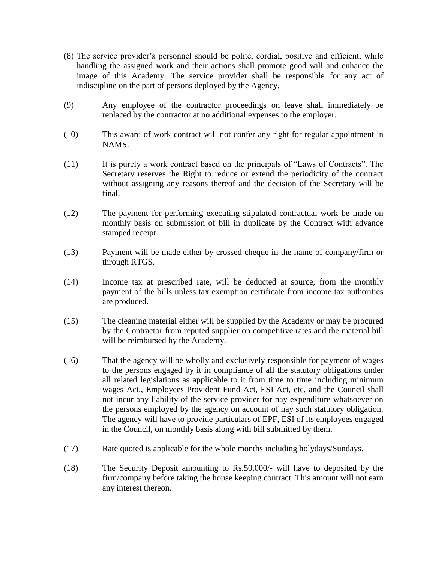- (8) The service provider's personnel should be polite, cordial, positive and efficient, while handling the assigned work and their actions shall promote good will and enhance the image of this Academy. The service provider shall be responsible for any act of indiscipline on the part of persons deployed by the Agency.
- (9) Any employee of the contractor proceedings on leave shall immediately be replaced by the contractor at no additional expenses to the employer.
- (10) This award of work contract will not confer any right for regular appointment in NAMS.
- (11) It is purely a work contract based on the principals of "Laws of Contracts". The Secretary reserves the Right to reduce or extend the periodicity of the contract without assigning any reasons thereof and the decision of the Secretary will be final.
- (12) The payment for performing executing stipulated contractual work be made on monthly basis on submission of bill in duplicate by the Contract with advance stamped receipt.
- (13) Payment will be made either by crossed cheque in the name of company/firm or through RTGS.
- (14) Income tax at prescribed rate, will be deducted at source, from the monthly payment of the bills unless tax exemption certificate from income tax authorities are produced.
- (15) The cleaning material either will be supplied by the Academy or may be procured by the Contractor from reputed supplier on competitive rates and the material bill will be reimbursed by the Academy.
- (16) That the agency will be wholly and exclusively responsible for payment of wages to the persons engaged by it in compliance of all the statutory obligations under all related legislations as applicable to it from time to time including minimum wages Act., Employees Provident Fund Act, ESI Act, etc. and the Council shall not incur any liability of the service provider for nay expenditure whatsoever on the persons employed by the agency on account of nay such statutory obligation. The agency will have to provide particulars of EPF, ESI of its employees engaged in the Council, on monthly basis along with bill submitted by them.
- (17) Rate quoted is applicable for the whole months including holydays/Sundays.
- (18) The Security Deposit amounting to Rs.50,000/- will have to deposited by the firm/company before taking the house keeping contract. This amount will not earn any interest thereon.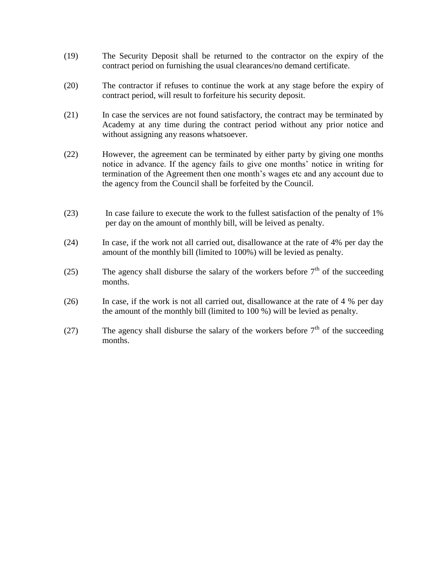- (19) The Security Deposit shall be returned to the contractor on the expiry of the contract period on furnishing the usual clearances/no demand certificate.
- (20) The contractor if refuses to continue the work at any stage before the expiry of contract period, will result to forfeiture his security deposit.
- (21) In case the services are not found satisfactory, the contract may be terminated by Academy at any time during the contract period without any prior notice and without assigning any reasons whatsoever.
- (22) However, the agreement can be terminated by either party by giving one months notice in advance. If the agency fails to give one months' notice in writing for termination of the Agreement then one month's wages etc and any account due to the agency from the Council shall be forfeited by the Council.
- (23) In case failure to execute the work to the fullest satisfaction of the penalty of 1% per day on the amount of monthly bill, will be leived as penalty.
- (24) In case, if the work not all carried out, disallowance at the rate of 4% per day the amount of the monthly bill (limited to 100%) will be levied as penalty.
- (25) The agency shall disburse the salary of the workers before  $7<sup>th</sup>$  of the succeeding months.
- (26) In case, if the work is not all carried out, disallowance at the rate of 4 % per day the amount of the monthly bill (limited to 100 %) will be levied as penalty.
- (27) The agency shall disburse the salary of the workers before  $7<sup>th</sup>$  of the succeeding months.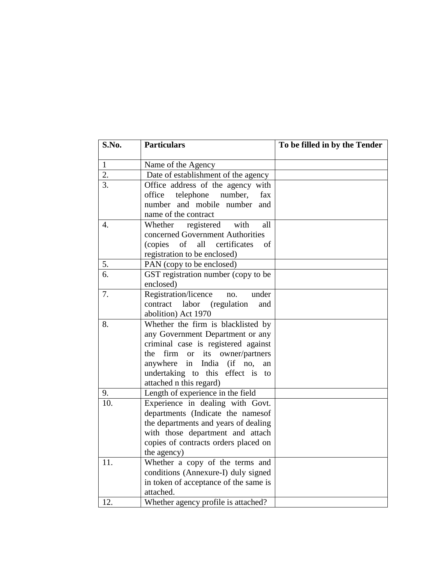| S.No.            | <b>Particulars</b>                                                                                                                                                                                                                                      | To be filled in by the Tender |
|------------------|---------------------------------------------------------------------------------------------------------------------------------------------------------------------------------------------------------------------------------------------------------|-------------------------------|
| $\mathbf{1}$     | Name of the Agency                                                                                                                                                                                                                                      |                               |
| 2.               | Date of establishment of the agency                                                                                                                                                                                                                     |                               |
| 3.               | Office address of the agency with<br>telephone<br>office<br>number,<br>fax<br>number and mobile number<br>and<br>name of the contract                                                                                                                   |                               |
| $\overline{4}$ . | registered<br>Whether<br>with<br>all<br>concerned Government Authorities<br>of<br>all<br>(copies)<br>certificates<br>οf<br>registration to be enclosed)                                                                                                 |                               |
| 5.               | PAN (copy to be enclosed)                                                                                                                                                                                                                               |                               |
| 6.               | GST registration number (copy to be<br>enclosed)                                                                                                                                                                                                        |                               |
| 7.               | Registration/licence<br>under<br>no.<br>contract<br>labor (regulation<br>and<br>abolition) Act 1970                                                                                                                                                     |                               |
| 8.               | Whether the firm is blacklisted by<br>any Government Department or any<br>criminal case is registered against<br>the<br>firm or its owner/partners<br>in India (if no,<br>anywhere<br>an<br>undertaking to this effect is to<br>attached n this regard) |                               |
| 9.               | Length of experience in the field                                                                                                                                                                                                                       |                               |
| 10.              | Experience in dealing with Govt.<br>departments (Indicate the namesof<br>the departments and years of dealing<br>with those department and attach<br>copies of contracts orders placed on<br>the agency)                                                |                               |
| 11.              | Whether a copy of the terms and<br>conditions (Annexure-I) duly signed<br>in token of acceptance of the same is<br>attached.                                                                                                                            |                               |
| 12.              | Whether agency profile is attached?                                                                                                                                                                                                                     |                               |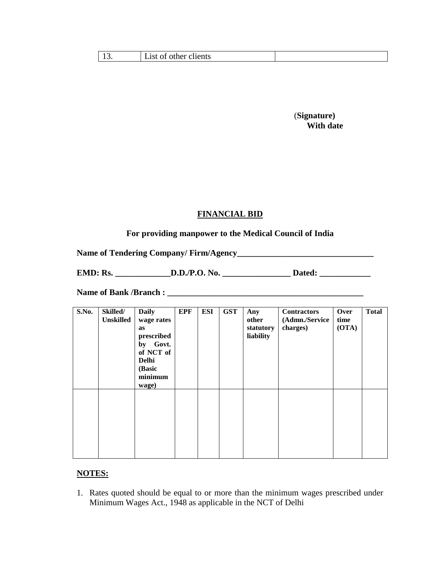| other clients<br>List<br>ΟĪ |
|-----------------------------|
|-----------------------------|

 (**Signature) With date** 

## **FINANCIAL BID**

### **For providing manpower to the Medical Council of India**

**Name of Tendering Company/ Firm/Agency\_\_\_\_\_\_\_\_\_\_\_\_\_\_\_\_\_\_\_\_\_\_\_\_\_\_\_\_\_\_\_\_**

**EMD: Rs. \_\_\_\_\_\_\_\_\_\_\_\_\_D.D./P.O. No. \_\_\_\_\_\_\_\_\_\_\_\_\_\_\_\_ Dated: \_\_\_\_\_\_\_\_\_\_\_\_**

**Name of Bank /Branch : \_\_\_\_\_\_\_\_\_\_\_\_\_\_\_\_\_\_\_\_\_\_\_\_\_\_\_\_\_\_\_\_\_\_\_\_\_\_\_\_\_\_\_\_\_\_**

| S.No. | Skilled/<br><b>Unskilled</b> | <b>Daily</b><br>wage rates<br>as<br>prescribed<br>by Govt.<br>of NCT of<br><b>Delhi</b><br>(Basic<br>minimum<br>wage) | <b>EPF</b> | <b>ESI</b> | <b>GST</b> | Any<br>other<br>statutory<br>liability | <b>Contractors</b><br>(Admn./Service<br>charges) | Over<br>time<br>(OTA) | <b>Total</b> |
|-------|------------------------------|-----------------------------------------------------------------------------------------------------------------------|------------|------------|------------|----------------------------------------|--------------------------------------------------|-----------------------|--------------|
|       |                              |                                                                                                                       |            |            |            |                                        |                                                  |                       |              |

### **NOTES:**

1. Rates quoted should be equal to or more than the minimum wages prescribed under Minimum Wages Act., 1948 as applicable in the NCT of Delhi